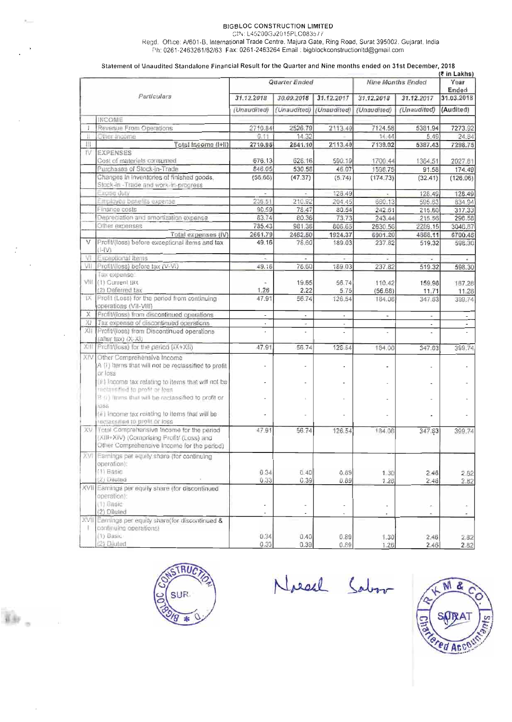### **BIGBLOC CONSTRUCTION LIMITED**

**GIN: L45200GJ2015PLC083577** 

**Regd.** Office: **N601-3,** International **Trade** Centre. **Malura** Gate, Ring Road, Surat 395002, Gujarat, **India Ph: 0261 -2463261 62/63 Fax: 0261-2463264 Ernail** : **bigblockconstructionI~@gmail.cm** 

#### **Statement of Unaudited Standalone Financial Result for the Quarter and Nine months ended on 31st December, 2018**

| Particulars |                                                                                                                                         | <b>Quarter Ended</b>     |                                    |                          | (₹ in Lakhs)<br><b>Nine Months Ended</b> |                          | Year<br>Ended            |
|-------------|-----------------------------------------------------------------------------------------------------------------------------------------|--------------------------|------------------------------------|--------------------------|------------------------------------------|--------------------------|--------------------------|
|             |                                                                                                                                         | 31.12.2018               | 30.09.2018                         | 31.12.2017               | 31.12.2018                               | 31.12.2017               | 31.03.2018               |
|             |                                                                                                                                         | (Unaudited)              | (Unaudited)                        | (Unaudited)              | (Unaudited)                              | (Unaudited)              | (Audited)                |
|             | INCOME                                                                                                                                  |                          |                                    |                          |                                          |                          |                          |
|             | Revenue From Operations                                                                                                                 | 2710.84                  | 2526.79                            | 2113.40                  | 7124.58                                  | 5381.94                  | 7273.92                  |
| Ħ           | Cther Income                                                                                                                            | 0,11                     | 14.32                              |                          | 14,44                                    | 5.49                     | 24.84                    |
| Ш           | Total Income (I+II)                                                                                                                     | 2710.95                  | 2541.10                            | 2113.40                  | 7139.02                                  | 5387.43                  | 7298.75                  |
| IV.         | <b>EXPENSES</b>                                                                                                                         |                          |                                    |                          |                                          |                          |                          |
|             | Cost of materials consumed                                                                                                              | 676.13                   | 628.16                             | 590.19                   | 1700.44                                  | 1364.51                  | 2027.81                  |
|             | Purchases of Stock-in-Trade                                                                                                             | 846.05                   | 530.58                             | 46.07                    | 1598.75                                  | 91.58                    | 174.49                   |
|             | Changes in inventories of finished goods.<br>Stock-in - Trade and work-in-progress                                                      | (56.66)                  | (47.37)                            | (5.74)                   | (174.73)                                 | (32.41)                  | (126.06)                 |
|             | Excise duty                                                                                                                             |                          |                                    | 128.49                   |                                          | 128.49                   | 128.49                   |
|             | Employee benefits expense                                                                                                               | 236,51                   | 210.92                             | 204.45                   | 660.13                                   | 595.63                   | 834.94                   |
|             | Finance costs                                                                                                                           | 90.59                    | 78.47                              | 80.54                    | 242.61                                   | 215.60                   | 317.33                   |
|             | Depreciation and amortization expense.                                                                                                  | 83.74                    | 80.36                              | 73.73                    | 243.44                                   | 215.56                   | 296.58                   |
|             | Other expenses                                                                                                                          | 785.43                   | 981.38                             | 806.65                   | 2630.56                                  | 2289.15                  | 3046.87                  |
|             | Total expenses (IV)                                                                                                                     | 2661.79                  | 2462.50                            | 1924.37                  | 6901.20                                  | 4868.11                  | 6700.45                  |
| v           | Profit/(loss) before exceptional items and tax<br>$L =  V $                                                                             | 49.16                    | 78.60                              | 189.03                   | 237.82                                   | 519.32                   | 598.30                   |
| VI          | Exceptional Items                                                                                                                       |                          |                                    |                          |                                          |                          |                          |
| VII.        | Profit/(loss) before tax (V-VI)                                                                                                         | 49.16                    | 78.60                              | 189.03                   | 237.82                                   | 519.32                   | 598.30                   |
|             | Tax expense                                                                                                                             |                          |                                    |                          |                                          |                          |                          |
|             | VIII (1) Current lax                                                                                                                    |                          | 19.65                              | 56.74                    | 110.42                                   | 159.98                   | 187,28                   |
|             | (2) Deferred tax                                                                                                                        | 1.26                     | 2.22                               | 5.75                     | (56.68)                                  | 11.71                    | 11.28                    |
| 1X.         | Profit (Loss) for the period from continuing<br>operations (VII-VIII)                                                                   | 47.91                    | 56.74                              | 126.54                   | 184.08                                   | 347.63                   | 399.74                   |
| $\times$    | Profit/(loss) from discontinued operations                                                                                              | $\frac{1}{2}$            | $\blacksquare$                     | $\overline{\phantom{a}}$ |                                          |                          |                          |
| XI.         | Tax expense of discontinued operations                                                                                                  |                          | $\ddot{\phantom{a}}$               |                          | $\overline{\phantom{a}}$                 | $\overline{\phantom{a}}$ | $\overline{\phantom{a}}$ |
| XII         | Profit/(loss) from Discontinued operations                                                                                              |                          | L.                                 | $\ddot{}$<br>÷           |                                          | ٠                        | $\tilde{\phantom{a}}$    |
|             | (after tax) (X-XI)                                                                                                                      |                          |                                    |                          | $\overline{\phantom{a}}$                 |                          |                          |
|             | XIII Profit/(loss) for the period (IX+XII)                                                                                              | 47.91                    | 56.74                              | 126.54                   | 184.08                                   | 347.63                   | 399.74                   |
|             |                                                                                                                                         |                          |                                    |                          |                                          |                          |                          |
| XIV         | Other Comprehensive Income<br>A (i) Items that will not be reclassified to profit<br>or loss                                            |                          |                                    |                          |                                          |                          |                          |
|             | (ii) Income tax relating to items that will not be<br>reclassified to profit or foss.                                                   |                          |                                    |                          |                                          |                          |                          |
|             | B (i) items that will be reclassified to profit or<br>1088                                                                              |                          |                                    |                          |                                          |                          |                          |
|             | (ii) income tax relating to items that will be<br>redassified to profit or loss                                                         |                          |                                    |                          |                                          |                          |                          |
|             | XV Total Comprehensive income for the period<br>(XIII+XIV) (Comprising Profit/ (Loss) and<br>Other Comprehensive Income for the period) | 47.91                    | 58.74                              | 126.54                   | 184.08                                   | 347.53                   | 399,74                   |
|             | XVI Earnings per equity share (for continuing<br>operation):                                                                            |                          |                                    |                          |                                          |                          |                          |
|             | (1) Basic                                                                                                                               | 0.34                     | 0.40                               | 0.89                     | 1.30                                     | 2.48                     | 2.82                     |
|             | (2) Diluted                                                                                                                             | 0.33                     | 0.39                               | 0.89                     | 1.26                                     | 2.48                     | 2.82                     |
|             | XVII Earnings per equity share (for discontinued<br>operation):                                                                         |                          |                                    |                          |                                          |                          |                          |
|             | (1) Basic                                                                                                                               | ٠                        |                                    |                          |                                          |                          |                          |
|             | (2) Diluted                                                                                                                             | $\overline{\phantom{a}}$ | $\qquad \qquad \blacksquare$<br>×, | L.                       | ٠                                        | ÷                        | ÷                        |
|             | XVII Earnings per equity share(for discontinued &                                                                                       |                          |                                    |                          | ٠                                        | ٠                        | u,                       |
|             | continuing operations)                                                                                                                  |                          |                                    |                          |                                          |                          |                          |
|             | (1) Basic                                                                                                                               | 0.34                     | 0.40                               | 0.89                     | $\frac{1.30}{1.25}$                      | 2.46                     | 2.82                     |
|             | (2) Diluted                                                                                                                             | 0.33                     | 0.39                               | 0.89                     |                                          | 2.46                     | 2.82                     |



 $\cdot$ 

Bir.

 $\bar{c}$ 

 $\sim$   $-$ 

Noed Sabor

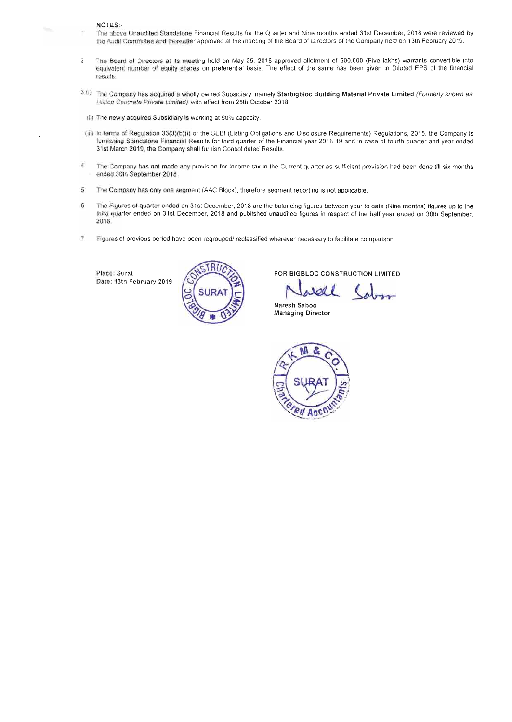#### **NOTES:-**

- 1 The above Unaudited Standalone Financial Results for the Quarter and Nine months ended 31st December, 2018 were reviewed by the Audit Committee and thereafter approved at the meeting of the Board of Directors of the Company held on 13th February 2019.
- 2 The Board of Directors at its meeting held on May 25, 2018 approved allotment of 500,000 (Five lakhs) warrants convertible into equivalent number of equity shares on preferential baas. The effect **of** the **same** has been given In Dlluted EPS **af me** financial **results.**
- $3(0)$  The Company has acquired a wholly owned Subsidiary, namely Starbigbloc Building Material Private Limited (Formerly known as Hilltop Concrete Private Limited) with effect from 25th October 2018.
- (ii) The **ngWly** acquired Subsidiary la worklng at **90%** capacity.
- (iii) In terms of Regulation 33(3)(b)(i) of the SEBI (Listing Obligations and Disclosure Requirements) Regulations, 2015, the Company is furnishing Standalone Financial Results for third quarter of the Financial year 2018-19 and in case of fourth quarter and year ended 31st **March** 2019, the **Company** shall furnish Consolidated Results.
- **4** The Company has not made any provision for Income **tax** In the Current **quarter** as sufficient **provision had** ban done till six months ended 30th September 2018
- **5** The Company has only **me wgment (A4C** Block), **therefore** segment reporting **is** not applicable.
- **6** The **Fgures** of **quarter ended** on 31st **December,** 2018 are **be** balancing figures **btwean** year to date (Nine months) **tlgures up** to **the**  third quarter ended **tl 3lst** December, **2018 and published unaudited Qgures** in respect **of** the hatf **year ended on** 30th September, **2W8.**
- **7 Flguree of previous period** have been **regrouped1** reclassified **wherever** necessary to facilitate comparison.

Place: Surat Date: 13th February 2019



**FOR BIGBLOC** CONSTRUCTION **LIMITED** 

**Naresh Saboo Managing Director** 

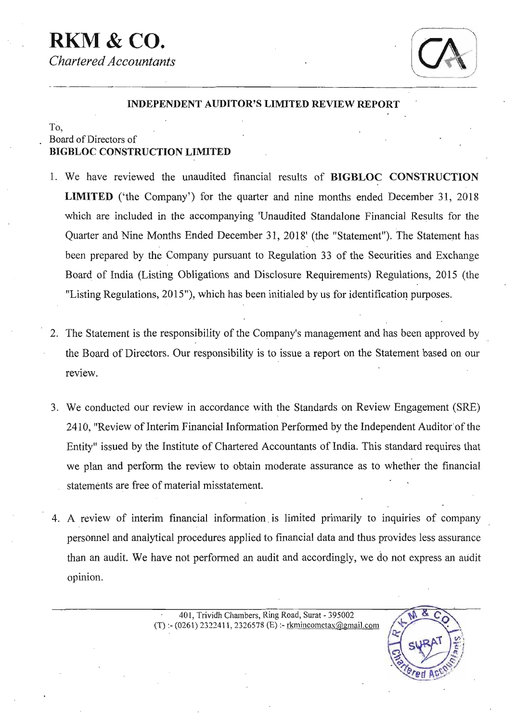# **RKM** & *CO. Chartered Accountants*



X.

*Ted Ac* 

## **TNDEPENDENT AUDITOR'S LIMITED REVlEW REPORT** '

## To, , Board **of Directors of BIGBLOC CONSTRUCTION LIMITED**

- **1. We have reviewed the unaudited** financial **.results of BIGBLOC CONSTRUCTION LIMITED** ('the Company') for the quarter and nine months ended December 31, 2018 **which are included in the accompanying 'Unaudited Standalone Financial** Results **for the Quarter and** Nine **Months Ended December 3 1, 201 8' (the "Statement"). The Statement** has **been prepared by the Company pursuant to Regulation 33 of the Securities and Exchange**  Board of India (Listing Obligations and Disclosure Requirements) Regulations, 2015 (the **"Listing Regulations, 2015"), which has been initialed by us for identification purposes.**
- ' *2.* **The Statement is the responsibility** of *the* **Company's management and has** been **approved by the Board of Directors. Our responsibility is** to **issue** a **report on the Statement based on our review.**
- **3. We conducted our review in accordance with the Standards on Review Engagement** (SRE) 2410, "Review of Interim Financial Information Performed by the Independent Auditor of the **Entity" issued by the** Institute **of Chartered Accountants** of **India.** This **standard requires that we plan and perform the review to obtain moderate assurance as to whether the financial**  . statements **are free of material misstatement.**
- **4. A review of interim financial information. is limited primarily to inquiries of company personnel** and analytical **procedures applied to financial data and** thus **provides less assurance**  than **an audit. We have** not **performed an** audit **and accordingly, we do not express an audit opinion.**

**a 40 1, Trividh Chambers,** Ring **Road, Surat** - **395002**  (T) :- **(0261) 232241 1,2326578** (E) :- **13anincometax@gnail.com**